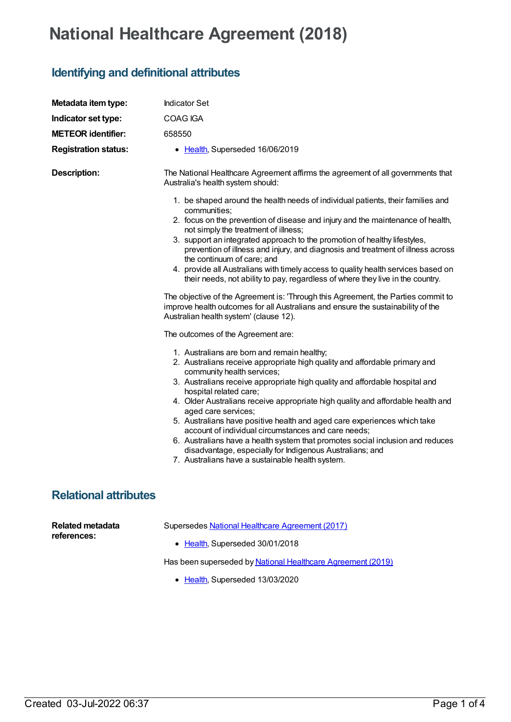## **National Healthcare Agreement (2018)**

## **Identifying and definitional attributes**

| Metadata item type:                    | <b>Indicator Set</b>                                                                                                                                                                                                                                                                                                                                                                                                                                                                                                                                                                                                                                                                                            |
|----------------------------------------|-----------------------------------------------------------------------------------------------------------------------------------------------------------------------------------------------------------------------------------------------------------------------------------------------------------------------------------------------------------------------------------------------------------------------------------------------------------------------------------------------------------------------------------------------------------------------------------------------------------------------------------------------------------------------------------------------------------------|
| Indicator set type:                    | COAG IGA                                                                                                                                                                                                                                                                                                                                                                                                                                                                                                                                                                                                                                                                                                        |
| <b>METEOR identifier:</b>              | 658550                                                                                                                                                                                                                                                                                                                                                                                                                                                                                                                                                                                                                                                                                                          |
| <b>Registration status:</b>            | • Health, Superseded 16/06/2019                                                                                                                                                                                                                                                                                                                                                                                                                                                                                                                                                                                                                                                                                 |
| <b>Description:</b>                    | The National Healthcare Agreement affirms the agreement of all governments that<br>Australia's health system should:                                                                                                                                                                                                                                                                                                                                                                                                                                                                                                                                                                                            |
|                                        | 1. be shaped around the health needs of individual patients, their families and<br>communities;<br>2. focus on the prevention of disease and injury and the maintenance of health,<br>not simply the treatment of illness;<br>3. support an integrated approach to the promotion of healthy lifestyles,<br>prevention of illness and injury, and diagnosis and treatment of illness across<br>the continuum of care; and<br>4. provide all Australians with timely access to quality health services based on<br>their needs, not ability to pay, regardless of where they live in the country.<br>The objective of the Agreement is: 'Through this Agreement, the Parties commit to                            |
|                                        | improve health outcomes for all Australians and ensure the sustainability of the<br>Australian health system' (clause 12).                                                                                                                                                                                                                                                                                                                                                                                                                                                                                                                                                                                      |
|                                        | The outcomes of the Agreement are:                                                                                                                                                                                                                                                                                                                                                                                                                                                                                                                                                                                                                                                                              |
|                                        | 1. Australians are born and remain healthy;<br>2. Australians receive appropriate high quality and affordable primary and<br>community health services;<br>3. Australians receive appropriate high quality and affordable hospital and<br>hospital related care;<br>4. Older Australians receive appropriate high quality and affordable health and<br>aged care services;<br>5. Australians have positive health and aged care experiences which take<br>account of individual circumstances and care needs;<br>6. Australians have a health system that promotes social inclusion and reduces<br>disadvantage, especially for Indigenous Australians; and<br>7. Australians have a sustainable health system. |
| <b>Relational attributes</b>           |                                                                                                                                                                                                                                                                                                                                                                                                                                                                                                                                                                                                                                                                                                                 |
| <b>Related metadata</b><br>references: | Supersedes National Healthcare Agreement (2017)<br>• Health, Superseded 30/01/2018                                                                                                                                                                                                                                                                                                                                                                                                                                                                                                                                                                                                                              |

Has been superseded by National Healthcare [Agreement](https://meteor.aihw.gov.au/content/698954) (2019)

• [Health](https://meteor.aihw.gov.au/RegistrationAuthority/12), Superseded 13/03/2020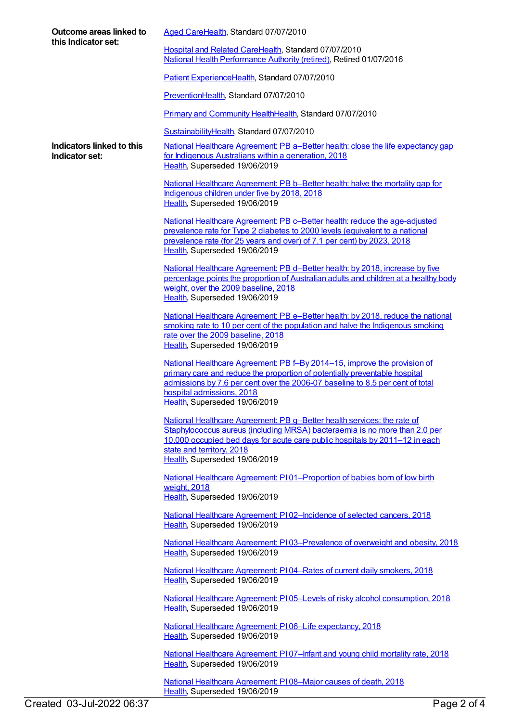| Outcome areas linked to<br>this Indicator set: | Aged CareHealth, Standard 07/07/2010                                                                                                                                                                                                                                                                  |
|------------------------------------------------|-------------------------------------------------------------------------------------------------------------------------------------------------------------------------------------------------------------------------------------------------------------------------------------------------------|
|                                                | Hospital and Related CareHealth, Standard 07/07/2010<br>National Health Performance Authority (retired), Retired 01/07/2016                                                                                                                                                                           |
|                                                | Patient ExperienceHealth, Standard 07/07/2010                                                                                                                                                                                                                                                         |
|                                                | PreventionHealth, Standard 07/07/2010                                                                                                                                                                                                                                                                 |
|                                                | Primary and Community HealthHealth, Standard 07/07/2010                                                                                                                                                                                                                                               |
|                                                | SustainabilityHealth, Standard 07/07/2010                                                                                                                                                                                                                                                             |
| Indicators linked to this<br>Indicator set:    | <u>National Healthcare Agreement: PB a–Better health: close the life expectancy gap</u><br>for Indigenous Australians within a generation, 2018<br>Health, Superseded 19/06/2019                                                                                                                      |
|                                                | National Healthcare Agreement: PB b-Better health: halve the mortality gap for<br>Indigenous children under five by 2018, 2018<br>Health, Superseded 19/06/2019                                                                                                                                       |
|                                                | National Healthcare Agreement: PB c-Better health: reduce the age-adjusted<br>prevalence rate for Type 2 diabetes to 2000 levels (equivalent to a national<br>prevalence rate (for 25 years and over) of 7.1 per cent) by 2023, 2018<br>Health, Superseded 19/06/2019                                 |
|                                                | National Healthcare Agreement: PB d-Better health: by 2018, increase by five<br>percentage points the proportion of Australian adults and children at a healthy body<br>weight, over the 2009 baseline, 2018<br>Health, Superseded 19/06/2019                                                         |
|                                                | National Healthcare Agreement: PB e-Better health: by 2018, reduce the national<br>smoking rate to 10 per cent of the population and halve the Indigenous smoking<br>rate over the 2009 baseline, 2018<br>Health, Superseded 19/06/2019                                                               |
|                                                | National Healthcare Agreement: PB f-By 2014-15, improve the provision of<br>primary care and reduce the proportion of potentially preventable hospital<br>admissions by 7.6 per cent over the 2006-07 baseline to 8.5 per cent of total<br>hospital admissions, 2018<br>Health, Superseded 19/06/2019 |
|                                                | National Healthcare Agreement: PB g-Better health services: the rate of<br>Staphylococcus aureus (including MRSA) bacteraemia is no more than 2.0 per<br>10,000 occupied bed days for acute care public hospitals by 2011-12 in each<br>state and territory, 2018<br>Health, Superseded 19/06/2019    |
|                                                | National Healthcare Agreement: P101-Proportion of babies born of low birth<br>weight, 2018<br>Health, Superseded 19/06/2019                                                                                                                                                                           |
|                                                | National Healthcare Agreement: PI02-Incidence of selected cancers, 2018<br>Health, Superseded 19/06/2019                                                                                                                                                                                              |
|                                                | National Healthcare Agreement: PI03-Prevalence of overweight and obesity, 2018<br>Health, Superseded 19/06/2019                                                                                                                                                                                       |
|                                                | National Healthcare Agreement: PI04-Rates of current daily smokers, 2018<br>Health, Superseded 19/06/2019                                                                                                                                                                                             |
|                                                | National Healthcare Agreement: PI05-Levels of risky alcohol consumption, 2018<br>Health, Superseded 19/06/2019                                                                                                                                                                                        |
|                                                | National Healthcare Agreement: PI06-Life expectancy, 2018<br>Health, Superseded 19/06/2019                                                                                                                                                                                                            |
|                                                | National Healthcare Agreement: PI07-Infant and young child mortality rate, 2018<br>Health, Superseded 19/06/2019                                                                                                                                                                                      |
|                                                | National Healthcare Agreement: P108-Major causes of death, 2018                                                                                                                                                                                                                                       |

[Health](https://meteor.aihw.gov.au/RegistrationAuthority/12), Superseded 19/06/2019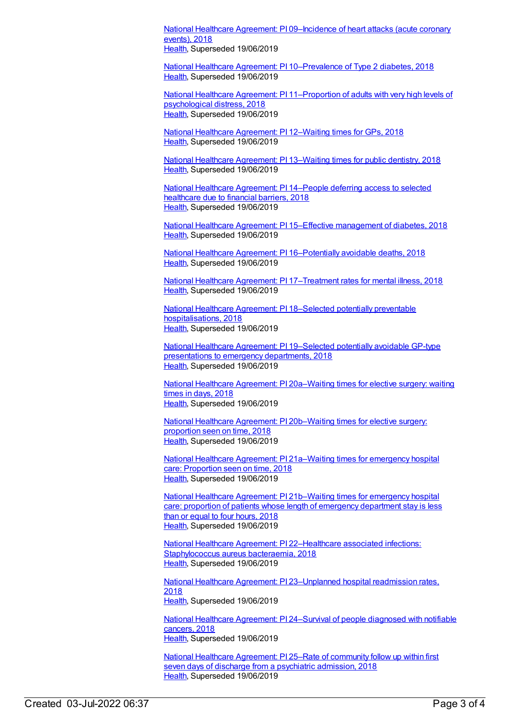National Healthcare Agreement: PI [09–Incidence](https://meteor.aihw.gov.au/content/658517) of heart attacks (acute coronary events), 2018 [Health](https://meteor.aihw.gov.au/RegistrationAuthority/12), Superseded 19/06/2019

National Healthcare Agreement: PI [10–Prevalence](https://meteor.aihw.gov.au/content/658515) of Type 2 diabetes, 2018 [Health](https://meteor.aihw.gov.au/RegistrationAuthority/12), Superseded 19/06/2019

National Healthcare Agreement: PI [11–Proportion](https://meteor.aihw.gov.au/content/658513) of adults with very high levels of psychological distress, 2018 [Health](https://meteor.aihw.gov.au/RegistrationAuthority/12), Superseded 19/06/2019

National Healthcare [Agreement:](https://meteor.aihw.gov.au/content/658511) PI 12–Waiting times for GPs, 2018 [Health](https://meteor.aihw.gov.au/RegistrationAuthority/12), Superseded 19/06/2019

National Healthcare [Agreement:](https://meteor.aihw.gov.au/content/658509) PI 13–Waiting times for public dentistry, 2018 [Health](https://meteor.aihw.gov.au/RegistrationAuthority/12), Superseded 19/06/2019

National Healthcare [Agreement:](https://meteor.aihw.gov.au/content/658507) PI 14–People deferring access to selected healthcare due to financial barriers, 2018 [Health](https://meteor.aihw.gov.au/RegistrationAuthority/12), Superseded 19/06/2019

National Healthcare Agreement: PI 15–Effective [management](https://meteor.aihw.gov.au/content/658505) of diabetes, 2018 [Health](https://meteor.aihw.gov.au/RegistrationAuthority/12), Superseded 19/06/2019

National Healthcare Agreement: PI [16–Potentially](https://meteor.aihw.gov.au/content/658503) avoidable deaths, 2018 [Health](https://meteor.aihw.gov.au/RegistrationAuthority/12), Superseded 19/06/2019

National Healthcare Agreement: PI [17–Treatment](https://meteor.aihw.gov.au/content/658501) rates for mental illness, 2018 [Health](https://meteor.aihw.gov.au/RegistrationAuthority/12), Superseded 19/06/2019

National Healthcare Agreement: PI 18–Selected potentially preventable [hospitalisations,](https://meteor.aihw.gov.au/content/658499) 2018 [Health](https://meteor.aihw.gov.au/RegistrationAuthority/12), Superseded 19/06/2019

National Healthcare Agreement: PI [19–Selected](https://meteor.aihw.gov.au/content/658497) potentially avoidable GP-type presentations to emergency departments, 2018 [Health](https://meteor.aihw.gov.au/RegistrationAuthority/12), Superseded 19/06/2019

National Healthcare Agreement: PI [20a–Waiting](https://meteor.aihw.gov.au/content/658495) times for elective surgery: waiting times in days, 2018 [Health](https://meteor.aihw.gov.au/RegistrationAuthority/12), Superseded 19/06/2019

National Healthcare Agreement: PI [20b–Waiting](https://meteor.aihw.gov.au/content/658493) times for elective surgery: proportion seen on time, 2018 [Health](https://meteor.aihw.gov.au/RegistrationAuthority/12), Superseded 19/06/2019

National Healthcare Agreement: PI [21a–Waiting](https://meteor.aihw.gov.au/content/658491) times for emergency hospital care: Proportion seen on time, 2018 [Health](https://meteor.aihw.gov.au/RegistrationAuthority/12), Superseded 19/06/2019

National Healthcare Agreement: PI [21b–Waiting](https://meteor.aihw.gov.au/content/658489) times for emergency hospital care: proportion of patients whose length of emergency department stay is less than or equal to four hours, 2018 [Health](https://meteor.aihw.gov.au/RegistrationAuthority/12), Superseded 19/06/2019

National Healthcare Agreement: PI [22–Healthcare](https://meteor.aihw.gov.au/content/658487) associated infections: Staphylococcus aureus bacteraemia, 2018 [Health](https://meteor.aihw.gov.au/RegistrationAuthority/12), Superseded 19/06/2019

National Healthcare Agreement: PI [23–Unplanned](https://meteor.aihw.gov.au/content/658485) hospital readmission rates, 2018 [Health](https://meteor.aihw.gov.au/RegistrationAuthority/12), Superseded 19/06/2019

National Healthcare Agreement: PI [24–Survival](https://meteor.aihw.gov.au/content/658483) of people diagnosed with notifiable cancers, 2018 [Health](https://meteor.aihw.gov.au/RegistrationAuthority/12), Superseded 19/06/2019

National Healthcare [Agreement:](https://meteor.aihw.gov.au/content/658481) PI 25–Rate of community follow up within first seven days of discharge from a psychiatric admission, 2018 [Health](https://meteor.aihw.gov.au/RegistrationAuthority/12), Superseded 19/06/2019